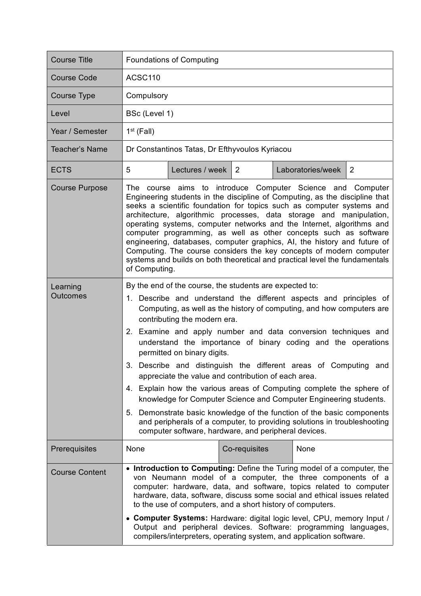| <b>Course Title</b>                    | <b>Foundations of Computing</b>                                                                                                                                                                                                                                                                                                                                                                                                                                                                                                                                                                                                                                                                                                                                                                                                                                                                |  |  |  |
|----------------------------------------|------------------------------------------------------------------------------------------------------------------------------------------------------------------------------------------------------------------------------------------------------------------------------------------------------------------------------------------------------------------------------------------------------------------------------------------------------------------------------------------------------------------------------------------------------------------------------------------------------------------------------------------------------------------------------------------------------------------------------------------------------------------------------------------------------------------------------------------------------------------------------------------------|--|--|--|
| <b>Course Code</b>                     | ACSC110                                                                                                                                                                                                                                                                                                                                                                                                                                                                                                                                                                                                                                                                                                                                                                                                                                                                                        |  |  |  |
| <b>Course Type</b>                     | Compulsory                                                                                                                                                                                                                                                                                                                                                                                                                                                                                                                                                                                                                                                                                                                                                                                                                                                                                     |  |  |  |
| Level                                  | BSc (Level 1)                                                                                                                                                                                                                                                                                                                                                                                                                                                                                                                                                                                                                                                                                                                                                                                                                                                                                  |  |  |  |
| Year / Semester                        | $1st$ (Fall)                                                                                                                                                                                                                                                                                                                                                                                                                                                                                                                                                                                                                                                                                                                                                                                                                                                                                   |  |  |  |
| Teacher's Name                         | Dr Constantinos Tatas, Dr Efthyvoulos Kyriacou                                                                                                                                                                                                                                                                                                                                                                                                                                                                                                                                                                                                                                                                                                                                                                                                                                                 |  |  |  |
| <b>ECTS</b>                            | 5<br>$\overline{2}$<br>Lectures / week $\vert$ 2<br>Laboratories/week                                                                                                                                                                                                                                                                                                                                                                                                                                                                                                                                                                                                                                                                                                                                                                                                                          |  |  |  |
| <b>Course Purpose</b>                  | The course aims to introduce Computer Science and Computer<br>Engineering students in the discipline of Computing, as the discipline that<br>seeks a scientific foundation for topics such as computer systems and<br>architecture, algorithmic processes, data storage and manipulation,<br>operating systems, computer networks and the Internet, algorithms and<br>computer programming, as well as other concepts such as software<br>engineering, databases, computer graphics, AI, the history and future of<br>Computing. The course considers the key concepts of modern computer<br>systems and builds on both theoretical and practical level the fundamentals<br>of Computing.                                                                                                                                                                                                      |  |  |  |
| Learning<br><b>Outcomes</b>            | By the end of the course, the students are expected to:<br>1. Describe and understand the different aspects and principles of<br>Computing, as well as the history of computing, and how computers are<br>contributing the modern era.<br>2. Examine and apply number and data conversion techniques and<br>understand the importance of binary coding and the operations<br>permitted on binary digits.<br>3. Describe and distinguish the different areas of Computing and<br>appreciate the value and contribution of each area.<br>4. Explain how the various areas of Computing complete the sphere of<br>knowledge for Computer Science and Computer Engineering students.<br>5. Demonstrate basic knowledge of the function of the basic components<br>and peripherals of a computer, to providing solutions in troubleshooting<br>computer software, hardware, and peripheral devices. |  |  |  |
| Prerequisites<br><b>Course Content</b> | Co-requisites<br>None<br>None<br>• Introduction to Computing: Define the Turing model of a computer, the<br>von Neumann model of a computer, the three components of a<br>computer: hardware, data, and software, topics related to computer<br>hardware, data, software, discuss some social and ethical issues related<br>to the use of computers, and a short history of computers.<br>• Computer Systems: Hardware: digital logic level, CPU, memory Input /<br>Output and peripheral devices. Software: programming languages,<br>compilers/interpreters, operating system, and application software.                                                                                                                                                                                                                                                                                     |  |  |  |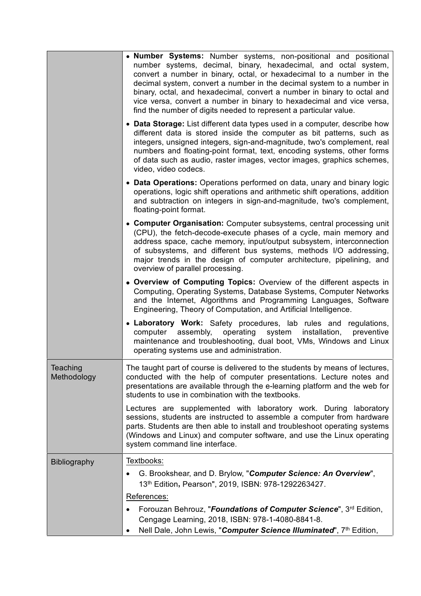|                         | • Number Systems: Number systems, non-positional and positional<br>number systems, decimal, binary, hexadecimal, and octal system,<br>convert a number in binary, octal, or hexadecimal to a number in the<br>decimal system, convert a number in the decimal system to a number in<br>binary, octal, and hexadecimal, convert a number in binary to octal and<br>vice versa, convert a number in binary to hexadecimal and vice versa,<br>find the number of digits needed to represent a particular value. |  |
|-------------------------|--------------------------------------------------------------------------------------------------------------------------------------------------------------------------------------------------------------------------------------------------------------------------------------------------------------------------------------------------------------------------------------------------------------------------------------------------------------------------------------------------------------|--|
|                         | • Data Storage: List different data types used in a computer, describe how<br>different data is stored inside the computer as bit patterns, such as<br>integers, unsigned integers, sign-and-magnitude, two's complement, real<br>numbers and floating-point format, text, encoding systems, other forms<br>of data such as audio, raster images, vector images, graphics schemes,<br>video, video codecs.                                                                                                   |  |
|                         | • Data Operations: Operations performed on data, unary and binary logic<br>operations, logic shift operations and arithmetic shift operations, addition<br>and subtraction on integers in sign-and-magnitude, two's complement,<br>floating-point format.                                                                                                                                                                                                                                                    |  |
|                         | • Computer Organisation: Computer subsystems, central processing unit<br>(CPU), the fetch-decode-execute phases of a cycle, main memory and<br>address space, cache memory, input/output subsystem, interconnection<br>of subsystems, and different bus systems, methods I/O addressing,<br>major trends in the design of computer architecture, pipelining, and<br>overview of parallel processing.                                                                                                         |  |
|                         | • Overview of Computing Topics: Overview of the different aspects in<br>Computing, Operating Systems, Database Systems, Computer Networks<br>and the Internet, Algorithms and Programming Languages, Software<br>Engineering, Theory of Computation, and Artificial Intelligence.                                                                                                                                                                                                                            |  |
|                         | • Laboratory Work: Safety procedures, lab rules and regulations,<br>computer assembly, operating system installation,<br>preventive<br>maintenance and troubleshooting, dual boot, VMs, Windows and Linux<br>operating systems use and administration.                                                                                                                                                                                                                                                       |  |
| Teaching<br>Methodology | The taught part of course is delivered to the students by means of lectures,<br>conducted with the help of computer presentations. Lecture notes and<br>presentations are available through the e-learning platform and the web for<br>students to use in combination with the textbooks.                                                                                                                                                                                                                    |  |
|                         | Lectures are supplemented with laboratory work. During laboratory<br>sessions, students are instructed to assemble a computer from hardware<br>parts. Students are then able to install and troubleshoot operating systems<br>(Windows and Linux) and computer software, and use the Linux operating<br>system command line interface.                                                                                                                                                                       |  |
| <b>Bibliography</b>     | Textbooks:                                                                                                                                                                                                                                                                                                                                                                                                                                                                                                   |  |
|                         | G. Brookshear, and D. Brylow, "Computer Science: An Overview",<br>13th Edition, Pearson", 2019, ISBN: 978-1292263427.                                                                                                                                                                                                                                                                                                                                                                                        |  |
|                         | References:                                                                                                                                                                                                                                                                                                                                                                                                                                                                                                  |  |
|                         | Forouzan Behrouz, "Foundations of Computer Science", 3rd Edition,                                                                                                                                                                                                                                                                                                                                                                                                                                            |  |
|                         | Cengage Learning, 2018, ISBN: 978-1-4080-8841-8.                                                                                                                                                                                                                                                                                                                                                                                                                                                             |  |
|                         | Nell Dale, John Lewis, "Computer Science Illuminated", 7th Edition,                                                                                                                                                                                                                                                                                                                                                                                                                                          |  |